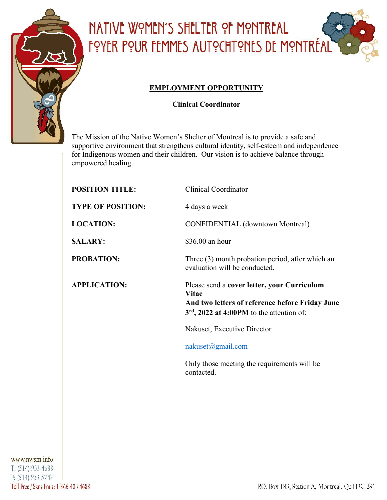

## NATIVE WOMEN'S SHELTER OF MONTREAL FOYER POUR FEMMES AUTOCHTONES DE MONTRÉAL

### **EMPLOYMENT OPPORTUNITY**

**Clinical Coordinator**

The Mission of the Native Women's Shelter of Montreal is to provide a safe and supportive environment that strengthens cultural identity, self-esteem and independence for Indigenous women and their children. Our vision is to achieve balance through empowered healing.

| <b>POSITION TITLE:</b>   | <b>Clinical Coordinator</b>                                                                                                                            |
|--------------------------|--------------------------------------------------------------------------------------------------------------------------------------------------------|
| <b>TYPE OF POSITION:</b> | 4 days a week                                                                                                                                          |
| <b>LOCATION:</b>         | <b>CONFIDENTIAL</b> (downtown Montreal)                                                                                                                |
| <b>SALARY:</b>           | \$36.00 an hour                                                                                                                                        |
| <b>PROBATION:</b>        | Three (3) month probation period, after which an<br>evaluation will be conducted.                                                                      |
| <b>APPLICATION:</b>      | Please send a cover letter, your Curriculum<br>Vitae<br>And two letters of reference before Friday June<br>$3rd$ , 2022 at 4:00PM to the attention of: |
|                          | Nakuset, Executive Director                                                                                                                            |
|                          | $nakuset(\omega gmail.com)$                                                                                                                            |
|                          | Only those meeting the requirements will be<br>contacted.                                                                                              |